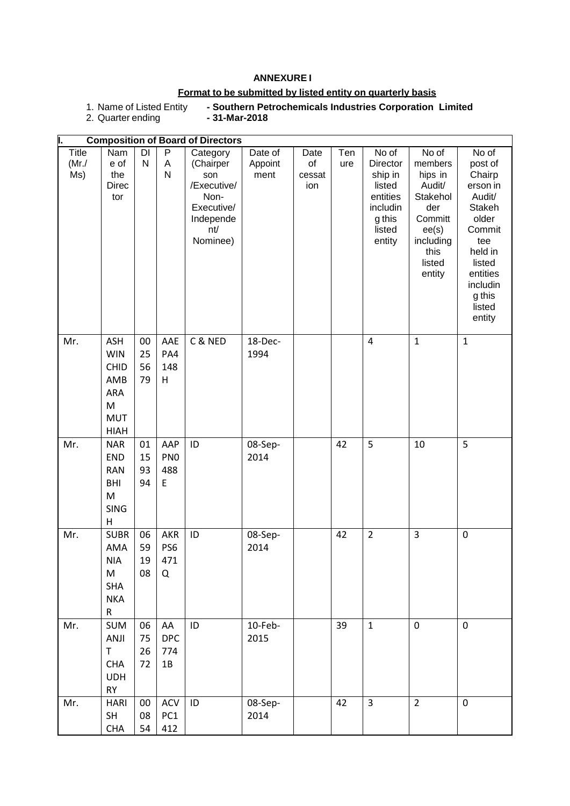### **ANNEXURE I**

### **Format to be submitted by listed entity on quarterly basis**

1. Name of Listed Entity<br>2. Quarter ending

**- Southern Petrochemicals Industries Corporation Limited**<br>- 31-Mar-2018

|                              |                                                                                         |                      |                                    | <b>Composition of Board of Directors</b>                                                          |                            |                             |            |                                                                                              |                                                                                                                       |                                                                                                                                                                 |
|------------------------------|-----------------------------------------------------------------------------------------|----------------------|------------------------------------|---------------------------------------------------------------------------------------------------|----------------------------|-----------------------------|------------|----------------------------------------------------------------------------------------------|-----------------------------------------------------------------------------------------------------------------------|-----------------------------------------------------------------------------------------------------------------------------------------------------------------|
| <b>Title</b><br>(Mr./<br>Ms) | Nam<br>e of<br>the<br><b>Direc</b><br>tor                                               | DI<br>$\mathsf{N}$   | P<br>A<br>$\mathsf{N}$             | Category<br>(Chairper<br>son<br>/Executive/<br>Non-<br>Executive/<br>Independe<br>nt/<br>Nominee) | Date of<br>Appoint<br>ment | Date<br>of<br>cessat<br>ion | Ten<br>ure | No of<br>Director<br>ship in<br>listed<br>entities<br>includin<br>g this<br>listed<br>entity | No of<br>members<br>hips in<br>Audit/<br>Stakehol<br>der<br>Committ<br>ee(s)<br>including<br>this<br>listed<br>entity | No of<br>post of<br>Chairp<br>erson in<br>Audit/<br>Stakeh<br>older<br>Commit<br>tee<br>held in<br>listed<br>entities<br>includin<br>g this<br>listed<br>entity |
| Mr.                          | <b>ASH</b><br><b>WIN</b><br><b>CHID</b><br>AMB<br>ARA<br>M<br><b>MUT</b><br><b>HIAH</b> | 00<br>25<br>56<br>79 | AAE<br>PA4<br>148<br>Н             | C & NED                                                                                           | 18-Dec-<br>1994            |                             |            | $\overline{4}$                                                                               | $\mathbf{1}$                                                                                                          | $\mathbf{1}$                                                                                                                                                    |
| Mr.                          | <b>NAR</b><br><b>END</b><br><b>RAN</b><br>BHI<br>M<br><b>SING</b><br>Н                  | 01<br>15<br>93<br>94 | AAP<br>PN <sub>0</sub><br>488<br>E | ID                                                                                                | 08-Sep-<br>2014            |                             | 42         | 5                                                                                            | 10                                                                                                                    | 5                                                                                                                                                               |
| Mr.                          | <b>SUBR</b><br>AMA<br><b>NIA</b><br>M<br><b>SHA</b><br><b>NKA</b><br>R                  | 06<br>59<br>19<br>08 | <b>AKR</b><br>PS6<br>471<br>Q      | ID                                                                                                | 08-Sep-<br>2014            |                             | 42         | $\overline{2}$                                                                               | 3                                                                                                                     | $\pmb{0}$                                                                                                                                                       |
| Mr.                          | <b>SUM</b><br>ANJI<br>$\top$<br>CHA<br><b>UDH</b><br>RY                                 | 06<br>75<br>26<br>72 | AA<br><b>DPC</b><br>774<br>$1B$    | ID                                                                                                | 10-Feb-<br>2015            |                             | 39         | $\mathbf{1}$                                                                                 | $\pmb{0}$                                                                                                             | $\mathbf 0$                                                                                                                                                     |
| Mr.                          | <b>HARI</b><br>SH<br><b>CHA</b>                                                         | $00\,$<br>08<br>54   | ACV<br>PC1<br>412                  | ID                                                                                                | 08-Sep-<br>2014            |                             | 42         | 3                                                                                            | $\overline{2}$                                                                                                        | $\pmb{0}$                                                                                                                                                       |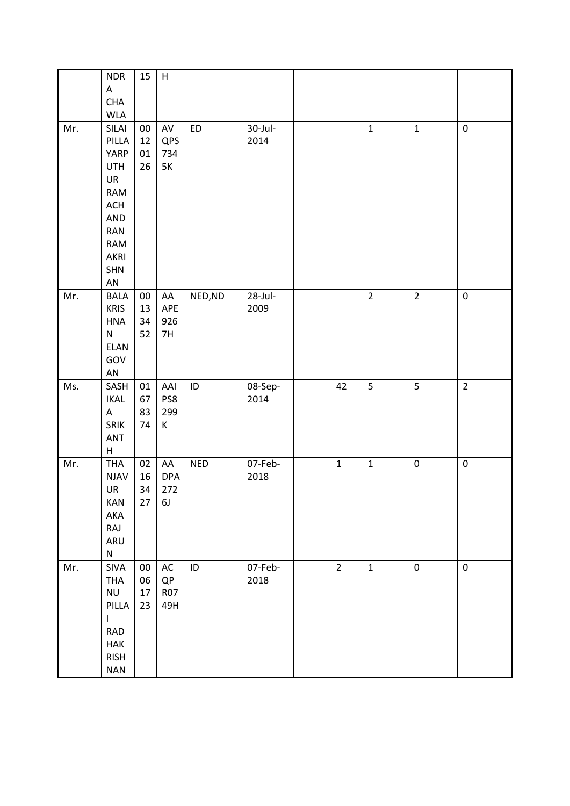|     | <b>NDR</b><br>$\mathsf A$         | 15       | $\boldsymbol{\mathsf{H}}$ |            |         |                |                |                  |                |
|-----|-----------------------------------|----------|---------------------------|------------|---------|----------------|----------------|------------------|----------------|
|     | CHA                               |          |                           |            |         |                |                |                  |                |
|     | <b>WLA</b>                        |          |                           |            |         |                |                |                  |                |
| Mr. | SILAI                             | $00\,$   | $\mathsf{AV}$             | <b>ED</b>  | 30-Jul- |                | $\mathbf 1$    | $\mathbf 1$      | $\pmb{0}$      |
|     | PILLA                             | 12       | QPS                       |            | 2014    |                |                |                  |                |
|     | YARP                              | 01       | 734                       |            |         |                |                |                  |                |
|     | <b>UTH</b>                        | 26       | 5K                        |            |         |                |                |                  |                |
|     | UR                                |          |                           |            |         |                |                |                  |                |
|     | RAM                               |          |                           |            |         |                |                |                  |                |
|     | $\mathsf{ACH}$                    |          |                           |            |         |                |                |                  |                |
|     | AND                               |          |                           |            |         |                |                |                  |                |
|     | RAN                               |          |                           |            |         |                |                |                  |                |
|     | RAM                               |          |                           |            |         |                |                |                  |                |
|     | AKRI                              |          |                           |            |         |                |                |                  |                |
|     | <b>SHN</b>                        |          |                           |            |         |                |                |                  |                |
|     | ${\sf AN}$                        |          |                           |            |         |                |                |                  |                |
| Mr. | <b>BALA</b>                       | $00\,$   | AA                        | NED, ND    | 28-Jul- |                | $\overline{2}$ | $\overline{2}$   | $\pmb{0}$      |
|     | <b>KRIS</b>                       | 13       | APE                       |            | 2009    |                |                |                  |                |
|     | HNA                               | 34       | 926                       |            |         |                |                |                  |                |
|     | ${\sf N}$                         | 52       | 7H                        |            |         |                |                |                  |                |
|     | ELAN                              |          |                           |            |         |                |                |                  |                |
|     | GOV                               |          |                           |            |         |                |                |                  |                |
|     | ${\sf AN}$                        |          |                           |            |         |                |                |                  |                |
| Ms. | SASH                              | 01       | AAI                       | $\sf ID$   | 08-Sep- | 42             | 5              | 5                | $\overline{2}$ |
|     | <b>IKAL</b>                       | 67       | PS8                       |            | 2014    |                |                |                  |                |
|     | $\boldsymbol{\mathsf{A}}$<br>SRIK | 83<br>74 | 299<br>$\sf K$            |            |         |                |                |                  |                |
|     | ANT                               |          |                           |            |         |                |                |                  |                |
|     | $\sf H$                           |          |                           |            |         |                |                |                  |                |
| Mr. | <b>THA</b>                        | 02       | AA                        | <b>NED</b> | 07-Feb- | $\mathbf 1$    | $\mathbf 1$    | $\boldsymbol{0}$ | $\pmb{0}$      |
|     | <b>NJAV</b>                       | 16       | <b>DPA</b>                |            | 2018    |                |                |                  |                |
|     | UR                                | 34       | 272                       |            |         |                |                |                  |                |
|     | KAN                               | 27       | 6J                        |            |         |                |                |                  |                |
|     | AKA                               |          |                           |            |         |                |                |                  |                |
|     | RAJ                               |          |                           |            |         |                |                |                  |                |
|     | ARU                               |          |                           |            |         |                |                |                  |                |
|     | ${\sf N}$                         |          |                           |            |         |                |                |                  |                |
| Mr. | <b>SIVA</b>                       | $00\,$   | AC                        | ID         | 07-Feb- | $\overline{2}$ | $\mathbf 1$    | $\pmb{0}$        | $\pmb{0}$      |
|     | <b>THA</b>                        | 06       | QP                        |            | 2018    |                |                |                  |                |
|     | <b>NU</b><br>PILLA                | 17       | <b>R07</b>                |            |         |                |                |                  |                |
|     | I                                 | 23       | 49H                       |            |         |                |                |                  |                |
|     | <b>RAD</b>                        |          |                           |            |         |                |                |                  |                |
|     | <b>HAK</b>                        |          |                           |            |         |                |                |                  |                |
|     | <b>RISH</b>                       |          |                           |            |         |                |                |                  |                |
|     | <b>NAN</b>                        |          |                           |            |         |                |                |                  |                |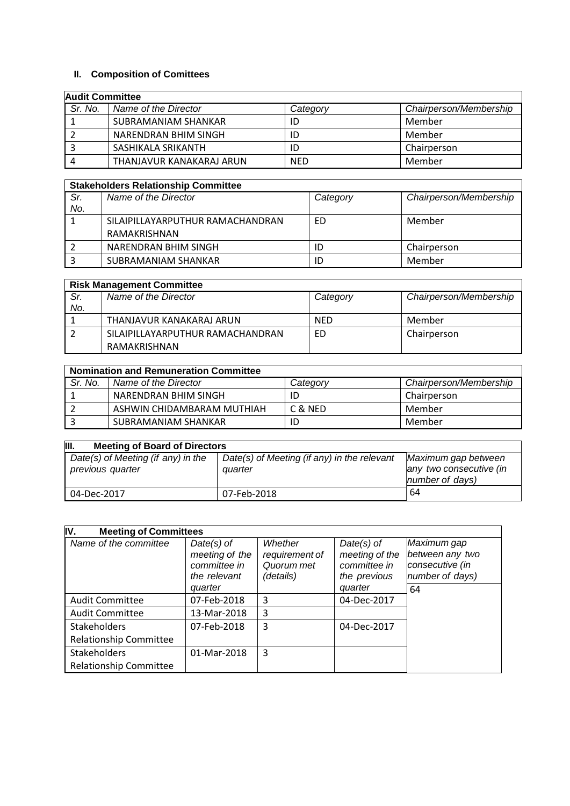## **II. Composition of Comittees**

| <b>Audit Committee</b> |                          |            |                        |  |
|------------------------|--------------------------|------------|------------------------|--|
| Sr. No.                | Name of the Director     | Category   | Chairperson/Membership |  |
|                        | SUBRAMANIAM SHANKAR      | ID         | Member                 |  |
|                        | NARENDRAN BHIM SINGH     | ID         | Member                 |  |
|                        | SASHIKALA SRIKANTH       | ID         | Chairperson            |  |
|                        | THANJAVUR KANAKARAJ ARUN | <b>NED</b> | Member                 |  |

|     | <b>Stakeholders Relationship Committee</b> |          |                        |  |  |
|-----|--------------------------------------------|----------|------------------------|--|--|
| Sr. | Name of the Director                       | Category | Chairperson/Membership |  |  |
| No. |                                            |          |                        |  |  |
|     | SILAIPILLAYARPUTHUR RAMACHANDRAN           | ED       | Member                 |  |  |
|     | RAMAKRISHNAN                               |          |                        |  |  |
|     | NARENDRAN BHIM SINGH                       | ID       | Chairperson            |  |  |
|     | SUBRAMANIAM SHANKAR                        | ID       | Member                 |  |  |

|     | <b>Risk Management Committee</b> |            |                        |  |  |  |
|-----|----------------------------------|------------|------------------------|--|--|--|
| Sr. | Name of the Director             | Category   | Chairperson/Membership |  |  |  |
| No. |                                  |            |                        |  |  |  |
|     | THANJAVUR KANAKARAJ ARUN         | <b>NFD</b> | Member                 |  |  |  |
|     | SILAIPILLAYARPUTHUR RAMACHANDRAN | ED         | Chairperson            |  |  |  |
|     | RAMAKRISHNAN                     |            |                        |  |  |  |

| <b>Nomination and Remuneration Committee</b> |                            |          |                        |  |  |
|----------------------------------------------|----------------------------|----------|------------------------|--|--|
| Sr. No.                                      | Name of the Director       | Category | Chairperson/Membership |  |  |
|                                              | NARENDRAN BHIM SINGH       |          | Chairperson            |  |  |
|                                              | ASHWIN CHIDAMBARAM MUTHIAH | C & NED  | Member                 |  |  |
|                                              | SUBRAMANIAM SHANKAR        |          | Member                 |  |  |

| III.<br><b>Meeting of Board of Directors</b>           |                                                        |                                                                   |  |  |  |
|--------------------------------------------------------|--------------------------------------------------------|-------------------------------------------------------------------|--|--|--|
| Date(s) of Meeting (if any) in the<br>previous quarter | Date(s) of Meeting (if any) in the relevant<br>quarter | Maximum gap between<br>any two consecutive (in<br>number of days) |  |  |  |
| 04-Dec-2017                                            | 07-Feb-2018                                            | 64                                                                |  |  |  |

| IV.<br><b>Meeting of Committees</b> |                                                                           |                                                      |                                                                           |                                                                            |
|-------------------------------------|---------------------------------------------------------------------------|------------------------------------------------------|---------------------------------------------------------------------------|----------------------------------------------------------------------------|
| Name of the committee               | $Date(s)$ of<br>meeting of the<br>committee in<br>the relevant<br>quarter | Whether<br>requirement of<br>Quorum met<br>(details) | $Date(s)$ of<br>meeting of the<br>committee in<br>the previous<br>quarter | Maximum gap<br>between any two<br>consecutive (in<br>number of days)<br>64 |
| <b>Audit Committee</b>              | 07-Feb-2018                                                               | 3                                                    | 04-Dec-2017                                                               |                                                                            |
| <b>Audit Committee</b>              | 13-Mar-2018                                                               | 3                                                    |                                                                           |                                                                            |
| Stakeholders                        | 07-Feb-2018                                                               | 3                                                    | 04-Dec-2017                                                               |                                                                            |
| <b>Relationship Committee</b>       |                                                                           |                                                      |                                                                           |                                                                            |
| <b>Stakeholders</b>                 | 01-Mar-2018                                                               | 3                                                    |                                                                           |                                                                            |
| <b>Relationship Committee</b>       |                                                                           |                                                      |                                                                           |                                                                            |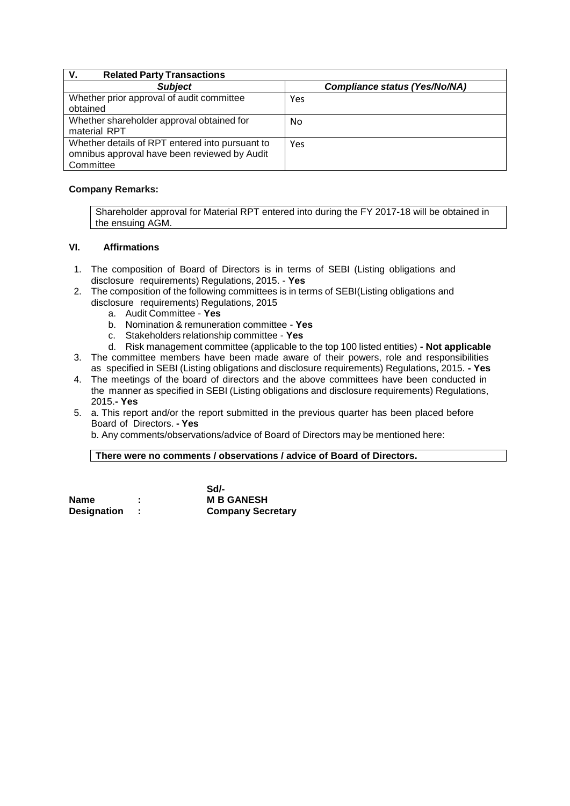| V.<br><b>Related Party Transactions</b>                                                                      |                                      |
|--------------------------------------------------------------------------------------------------------------|--------------------------------------|
| <b>Subject</b>                                                                                               | <b>Compliance status (Yes/No/NA)</b> |
| Whether prior approval of audit committee<br>obtained                                                        | Yes                                  |
| Whether shareholder approval obtained for<br>material RPT                                                    | No                                   |
| Whether details of RPT entered into pursuant to<br>omnibus approval have been reviewed by Audit<br>Committee | Yes                                  |

### **Company Remarks:**

Shareholder approval for Material RPT entered into during the FY 2017-18 will be obtained in the ensuing AGM.

## **VI. Affirmations**

- 1. The composition of Board of Directors is in terms of SEBI (Listing obligations and disclosure requirements) Regulations, 2015. - **Yes**
- 2. The composition of the following committees is in terms of SEBI(Listing obligations and disclosure requirements) Regulations, 2015
	- a. Audit Committee **Yes**
	- b. Nomination & remuneration committee **Yes**
	- c. Stakeholders relationship committee **Yes**
	- d. Risk management committee (applicable to the top 100 listed entities) **- Not applicable**
- 3. The committee members have been made aware of their powers, role and responsibilities as specified in SEBI (Listing obligations and disclosure requirements) Regulations, 2015. **- Yes**
- 4. The meetings of the board of directors and the above committees have been conducted in the manner as specified in SEBI (Listing obligations and disclosure requirements) Regulations, 2015.**- Yes**
- 5. a. This report and/or the report submitted in the previous quarter has been placed before Board of Directors. **- Yes**

b. Any comments/observations/advice of Board of Directors may be mentioned here:

#### **There were no comments / observations / advice of Board of Directors.**

|             |   | Sd/-                     |
|-------------|---|--------------------------|
| Name        | ٠ | <b>M B GANESH</b>        |
| Designation |   | <b>Company Secretary</b> |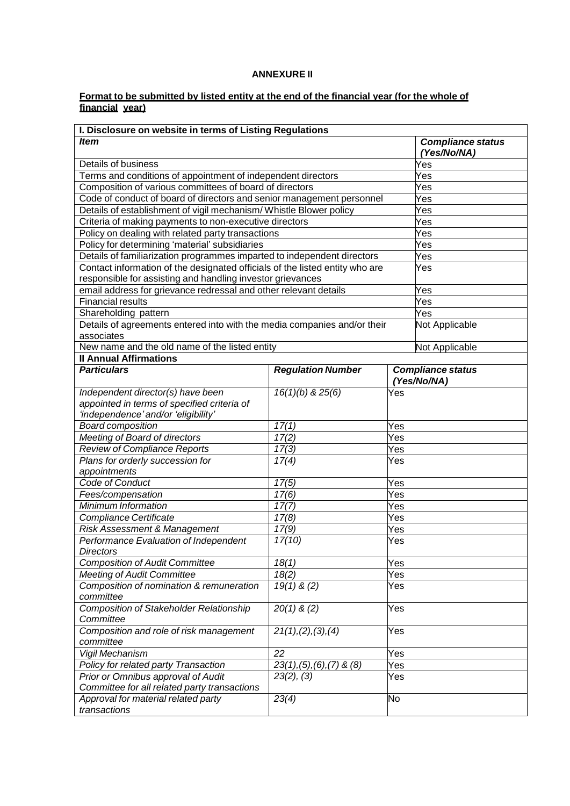# **ANNEXURE II**

#### **Format to be submitted by listed entity at the end of the financial year (for the whole of financial year)**

| I. Disclosure on website in terms of Listing Regulations                     |                                |     |                                         |  |
|------------------------------------------------------------------------------|--------------------------------|-----|-----------------------------------------|--|
| <b>Item</b>                                                                  |                                |     | <b>Compliance status</b><br>(Yes/No/NA) |  |
| Details of business                                                          |                                |     | Yes                                     |  |
| Terms and conditions of appointment of independent directors                 |                                |     | Yes                                     |  |
| Composition of various committees of board of directors                      |                                |     | Yes                                     |  |
| Code of conduct of board of directors and senior management personnel        |                                |     | Yes                                     |  |
| Details of establishment of vigil mechanism/ Whistle Blower policy           |                                |     | Yes                                     |  |
| Criteria of making payments to non-executive directors                       |                                |     | Yes                                     |  |
| Policy on dealing with related party transactions                            |                                |     | Yes                                     |  |
| Policy for determining 'material' subsidiaries                               |                                |     | Yes                                     |  |
| Details of familiarization programmes imparted to independent directors      |                                |     | Yes                                     |  |
| Contact information of the designated officials of the listed entity who are |                                |     | Yes                                     |  |
| responsible for assisting and handling investor grievances                   |                                |     |                                         |  |
| email address for grievance redressal and other relevant details             |                                |     | Yes                                     |  |
| <b>Financial results</b>                                                     |                                |     | Yes                                     |  |
| Shareholding pattern                                                         |                                |     | Yes                                     |  |
| Details of agreements entered into with the media companies and/or their     |                                |     | Not Applicable                          |  |
| associates                                                                   |                                |     |                                         |  |
| New name and the old name of the listed entity                               |                                |     | Not Applicable                          |  |
| <b>Il Annual Affirmations</b>                                                |                                |     |                                         |  |
| <b>Particulars</b>                                                           | <b>Regulation Number</b>       |     | <b>Compliance status</b><br>(Yes/No/NA) |  |
| Independent director(s) have been                                            | 16(1)(b) & 25(6)               | Yes |                                         |  |
| appointed in terms of specified criteria of                                  |                                |     |                                         |  |
| 'independence' and/or 'eligibility'                                          |                                |     |                                         |  |
| <b>Board composition</b>                                                     | $\overline{17(1)}$             | Yes |                                         |  |
| <b>Meeting of Board of directors</b>                                         | 17(2)                          | Yes |                                         |  |
| <b>Review of Compliance Reports</b>                                          | 17(3)                          | Yes |                                         |  |
| Plans for orderly succession for                                             | 17(4)                          | Yes |                                         |  |
| appointments                                                                 |                                |     |                                         |  |
| Code of Conduct                                                              | 17(5)                          | Yes |                                         |  |
| Fees/compensation                                                            | 17(6)                          | Yes |                                         |  |
| Minimum Information                                                          | 17(7)                          | Yes |                                         |  |
| Compliance Certificate                                                       | 17(8)                          | Yes |                                         |  |
| Risk Assessment & Management                                                 | 17(9)                          | Yes |                                         |  |
| Performance Evaluation of Independent                                        | 17(10)                         | Yes |                                         |  |
| <i>Directors</i>                                                             |                                |     |                                         |  |
| <b>Composition of Audit Committee</b>                                        | 18(1)                          | Yes |                                         |  |
| <b>Meeting of Audit Committee</b>                                            | 18(2)                          | Yes |                                         |  |
| Composition of nomination & remuneration<br>committee                        | $19(1)$ & (2)                  | Yes |                                         |  |
| <b>Composition of Stakeholder Relationship</b><br>Committee                  | $20(1)$ & (2)                  | Yes |                                         |  |
| Composition and role of risk management<br>committee                         | 21(1), (2), (3), (4)           | Yes |                                         |  |
| Vigil Mechanism                                                              | 22                             | Yes |                                         |  |
| Policy for related party Transaction                                         | $23(1), (5), (6), (7)$ & $(8)$ | Yes |                                         |  |
| Prior or Omnibus approval of Audit                                           | 23(2), (3)                     | Yes |                                         |  |
| Committee for all related party transactions                                 |                                |     |                                         |  |
| Approval for material related party                                          | 23(4)                          | No  |                                         |  |
| transactions                                                                 |                                |     |                                         |  |